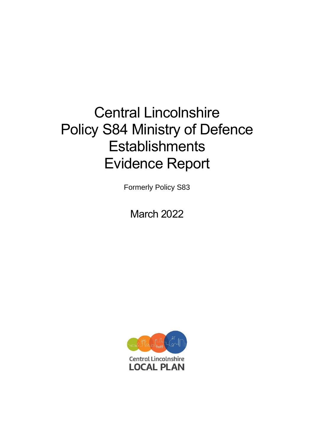# Central Lincolnshire Policy S84 Ministry of Defence **Establishments** Evidence Report

Formerly Policy S83

March 2022

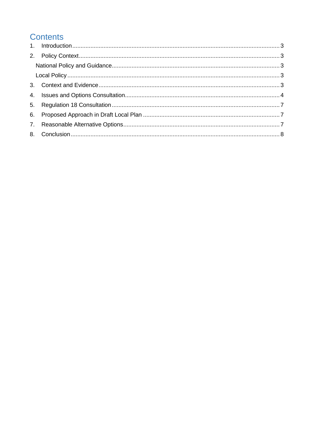# **Contents**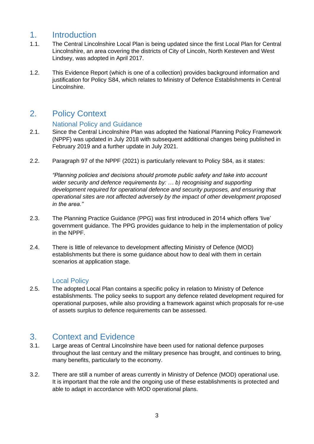## <span id="page-2-0"></span>1. Introduction

- 1.1. The Central Lincolnshire Local Plan is being updated since the first Local Plan for Central Lincolnshire, an area covering the districts of City of Lincoln, North Kesteven and West Lindsey, was adopted in April 2017.
- 1.2. This Evidence Report (which is one of a collection) provides background information and justification for Policy S84, which relates to Ministry of Defence Establishments in Central Lincolnshire.

# <span id="page-2-1"></span>2. Policy Context

#### National Policy and Guidance

- <span id="page-2-2"></span>2.1. Since the Central Lincolnshire Plan was adopted the National Planning Policy Framework (NPPF) was updated in July 2018 with subsequent additional changes being published in February 2019 and a further update in July 2021.
- 2.2. Paragraph 97 of the NPPF (2021) is particularly relevant to Policy S84, as it states:

*"Planning policies and decisions should promote public safety and take into account wider security and defence requirements by: … b) recognising and supporting development required for operational defence and security purposes, and ensuring that operational sites are not affected adversely by the impact of other development proposed in the area."*

- 2.3. The Planning Practice Guidance (PPG) was first introduced in 2014 which offers 'live' government guidance. The PPG provides guidance to help in the implementation of policy in the NPPF.
- 2.4. There is little of relevance to development affecting Ministry of Defence (MOD) establishments but there is some guidance about how to deal with them in certain scenarios at application stage.

#### Local Policy

<span id="page-2-3"></span>2.5. The adopted Local Plan contains a specific policy in relation to Ministry of Defence establishments. The policy seeks to support any defence related development required for operational purposes, while also providing a framework against which proposals for re-use of assets surplus to defence requirements can be assessed.

### <span id="page-2-4"></span>3. Context and Evidence

- 3.1. Large areas of Central Lincolnshire have been used for national defence purposes throughout the last century and the military presence has brought, and continues to bring, many benefits, particularly to the economy.
- 3.2. There are still a number of areas currently in Ministry of Defence (MOD) operational use. It is important that the role and the ongoing use of these establishments is protected and able to adapt in accordance with MOD operational plans.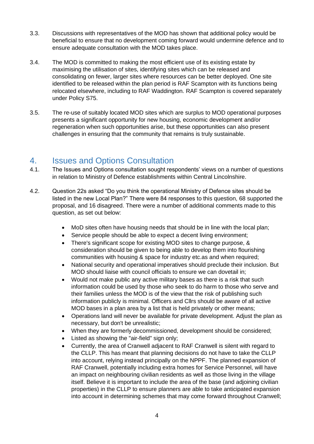- 3.3. Discussions with representatives of the MOD has shown that additional policy would be beneficial to ensure that no development coming forward would undermine defence and to ensure adequate consultation with the MOD takes place.
- 3.4. The MOD is committed to making the most efficient use of its existing estate by maximising the utilisation of sites, identifying sites which can be released and consolidating on fewer, larger sites where resources can be better deployed. One site identified to be released within the plan period is RAF Scampton with its functions being relocated elsewhere, including to RAF Waddington. RAF Scampton is covered separately under Policy S75.
- 3.5. The re-use of suitably located MOD sites which are surplus to MOD operational purposes presents a significant opportunity for new housing, economic development and/or regeneration when such opportunities arise, but these opportunities can also present challenges in ensuring that the community that remains is truly sustainable.

#### <span id="page-3-0"></span>4. Issues and Options Consultation

- 4.1. The Issues and Options consultation sought respondents' views on a number of questions in relation to Ministry of Defence establishments within Central Lincolnshire.
- 4.2. Question 22s asked "Do you think the operational Ministry of Defence sites should be listed in the new Local Plan?" There were 84 responses to this question, 68 supported the proposal, and 16 disagreed. There were a number of additional comments made to this question, as set out below:
	- MoD sites often have housing needs that should be in line with the local plan;
	- Service people should be able to expect a decent living environment;
	- There's significant scope for existing MOD sites to change purpose, & consideration should be given to being able to develop them into flourishing communities with housing & space for industry etc.as and when required;
	- National security and operational imperatives should preclude their inclusion. But MOD should liaise with council officials to ensure we can dovetail in;
	- Would not make public any active military bases as there is a risk that such information could be used by those who seek to do harm to those who serve and their families unless the MOD is of the view that the risk of publishing such information publicly is minimal. Officers and Cllrs should be aware of all active MOD bases in a plan area by a list that is held privately or other means;
	- Operations land will never be available for private development. Adjust the plan as necessary, but don't be unrealistic;
	- When they are formerly decommissioned, development should be considered;
	- Listed as showing the "air-field" sign only;
	- Currently, the area of Cranwell adjacent to RAF Cranwell is silent with regard to the CLLP. This has meant that planning decisions do not have to take the CLLP into account, relying instead principally on the NPPF. The planned expansion of RAF Cranwell, potentially including extra homes for Service Personnel, will have an impact on neighbouring civilian residents as well as those living in the village itself. Believe it is important to include the area of the base (and adjoining civilian properties) in the CLLP to ensure planners are able to take anticipated expansion into account in determining schemes that may come forward throughout Cranwell;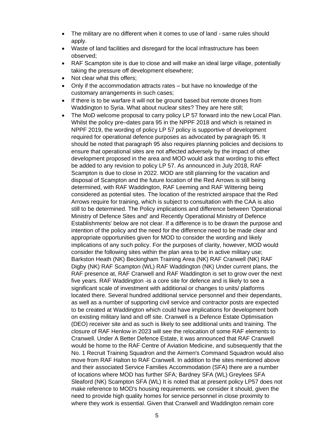- The military are no different when it comes to use of land same rules should apply.
- Waste of land facilities and disregard for the local infrastructure has been observed;
- RAF Scampton site is due to close and will make an ideal large village, potentially taking the pressure off development elsewhere;
- Not clear what this offers;
- Only if the accommodation attracts rates but have no knowledge of the customary arrangements in such cases;
- If there is to be warfare it will not be ground based but remote drones from Waddington to Syria. What about nuclear sites? They are here still;
- The MoD welcome proposal to carry policy LP 57 forward into the new Local Plan. Whilst the policy pre–dates para 95 in the NPPF 2018 and which is retained in NPPF 2019, the wording of policy LP 57 policy is supportive of development required for operational defence purposes as advocated by paragraph 95. It should be noted that paragraph 95 also requires planning policies and decisions to ensure that operational sites are not affected adversely by the impact of other development proposed in the area and MOD would ask that wording to this effect be added to any revision to policy LP 57. As announced in July 2018, RAF Scampton is due to close in 2022. MOD are still planning for the vacation and disposal of Scampton and the future location of the Red Arrows is still being determined, with RAF Waddington, RAF Leeming and RAF Wittering being considered as potential sites. The location of the restricted airspace that the Red Arrows require for training, which is subject to consultation with the CAA is also still to be determined. The Policy implications and difference between 'Operational Ministry of Defence Sites and' and Recently Operational Ministry of Defence Establishments' below are not clear. If a difference is to be drawn the purpose and intention of the policy and the need for the difference need to be made clear and appropriate opportunities given for MOD to consider the wording and likely implications of any such policy. For the purposes of clarity, however, MOD would consider the following sites within the plan area to be in active military use; Barkston Heath (NK) Beckingham Training Area (NK) RAF Cranwell (NK) RAF Digby (NK) RAF Scampton (WL) RAF Waddington (NK) Under current plans, the RAF presence at, RAF Cranwell and RAF Waddington is set to grow over the next five years. RAF Waddington -is a core site for defence and is likely to see a significant scale of investment with additional or changes to units/ platforms located there. Several hundred additional service personnel and their dependants, as well as a number of supporting civil service and contractor posts are expected to be created at Waddington which could have implications for development both on existing military land and off site. Cranwell is a Defence Estate Optimisation (DEO) receiver site and as such is likely to see additional units and training. The closure of RAF Henlow in 2023 will see the relocation of some RAF elements to Cranwell. Under A Better Defence Estate, it was announced that RAF Cranwell would be home to the RAF Centre of Aviation Medicine, and subsequently that the No. 1 Recruit Training Squadron and the Airmen's Command Squadron would also move from RAF Halton to RAF Cranwell. In addition to the sites mentioned above and their associated Service Families Accommodation (SFA) there are a number of locations where MOD has further SFA; Bardney SFA (WL) Greylees SFA Sleaford (NK) Scampton SFA (WL) It is noted that at present policy LP57 does not make reference to MOD's housing requirements. we consider it should, given the need to provide high quality homes for service personnel in close proximity to where they work is essential. Given that Cranwell and Waddington remain core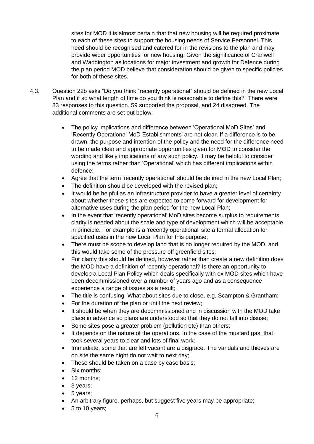sites for MOD it is almost certain that that new housing will be required proximate to each of these sites to support the housing needs of Service Personnel. This need should be recognised and catered for in the revisions to the plan and may provide wider opportunities for new housing. Given the significance of Cranwell and Waddington as locations for major investment and growth for Defence during the plan period MOD believe that consideration should be given to specific policies for both of these sites.

- 4.3. Question 22b asks "Do you think "recently operational" should be defined in the new Local Plan and if so what length of time do you think is reasonable to define this?" There were 83 responses to this question. 59 supported the proposal, and 24 disagreed. The additional comments are set out below:
	- The policy implications and difference between 'Operational MoD Sites' and 'Recently Operational MoD Establishments' are not clear. If a difference is to be drawn, the purpose and intention of the policy and the need for the difference need to be made clear and appropriate opportunities given for MOD to consider the wording and likely implications of any such policy. It may be helpful to consider using the terms rather than 'Operational' which has different implications within defence;
	- Agree that the term 'recently operational' should be defined in the new Local Plan;
	- The definition should be developed with the revised plan;
	- It would be helpful as an infrastructure provider to have a greater level of certainty about whether these sites are expected to come forward for development for alternative uses during the plan period for the new Local Plan;
	- In the event that 'recently operational' MoD sites become surplus to requirements clarity is needed about the scale and type of development which will be acceptable in principle. For example is a 'recently operational' site a formal allocation for specified uses in the new Local Plan for this purpose;
	- There must be scope to develop land that is no longer required by the MOD, and this would take some of the pressure off greenfield sites;
	- For clarity this should be defined, however rather than create a new definition does the MOD have a definition of recently operational? Is there an opportunity to develop a Local Plan Policy which deals specifically with ex MOD sites which have been decommissioned over a number of years ago and as a consequence experience a range of issues as a result;
	- The title is confusing. What about sites due to close, e.g. Scampton & Grantham;
	- For the duration of the plan or until the next review;
	- It should be when they are decommissioned and in discussion with the MOD take place in advance so plans are understood so that they do not fall into disuse;
	- Some sites pose a greater problem (pollution etc) than others;
	- It depends on the nature of the operations. In the case of the mustard gas, that took several years to clear and lots of final work;
	- Immediate, some that are left vacant are a disgrace. The vandals and thieves are on site the same night do not wait to next day;
	- These should be taken on a case by case basis;
	- Six months:
	- 12 months:
	- 3 years:
	- 5 years;
	- An arbitrary figure, perhaps, but suggest five years may be appropriate;
	- 5 to 10 years;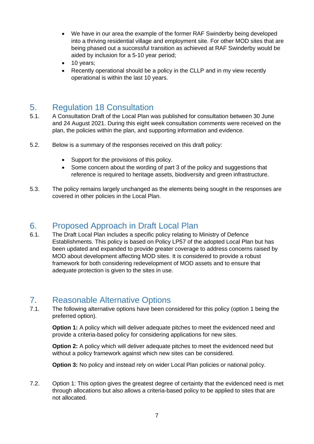- We have in our area the example of the former RAF Swinderby being developed into a thriving residential village and employment site. For other MOD sites that are being phased out a successful transition as achieved at RAF Swinderby would be aided by inclusion for a 5-10 year period;
- 10 years;
- Recently operational should be a policy in the CLLP and in my view recently operational is within the last 10 years.

## <span id="page-6-0"></span>5. Regulation 18 Consultation

- 5.1. A Consultation Draft of the Local Plan was published for consultation between 30 June and 24 August 2021. During this eight week consultation comments were received on the plan, the policies within the plan, and supporting information and evidence.
- 5.2. Below is a summary of the responses received on this draft policy:
	- Support for the provisions of this policy.
	- Some concern about the wording of part 3 of the policy and suggestions that reference is required to heritage assets, biodiversity and green infrastructure.
- 5.3. The policy remains largely unchanged as the elements being sought in the responses are covered in other policies in the Local Plan.

#### <span id="page-6-1"></span>6. Proposed Approach in Draft Local Plan

6.1. The Draft Local Plan includes a specific policy relating to Ministry of Defence Establishments. This policy is based on Policy LP57 of the adopted Local Plan but has been updated and expanded to provide greater coverage to address concerns raised by MOD about development affecting MOD sites. It is considered to provide a robust framework for both considering redevelopment of MOD assets and to ensure that adequate protection is given to the sites in use.

## <span id="page-6-2"></span>7. Reasonable Alternative Options

7.1. The following alternative options have been considered for this policy (option 1 being the preferred option).

**Option 1:** A policy which will deliver adequate pitches to meet the evidenced need and provide a criteria-based policy for considering applications for new sites.

**Option 2:** A policy which will deliver adequate pitches to meet the evidenced need but without a policy framework against which new sites can be considered.

**Option 3:** No policy and instead rely on wider Local Plan policies or national policy.

7.2. Option 1: This option gives the greatest degree of certainty that the evidenced need is met through allocations but also allows a criteria-based policy to be applied to sites that are not allocated.